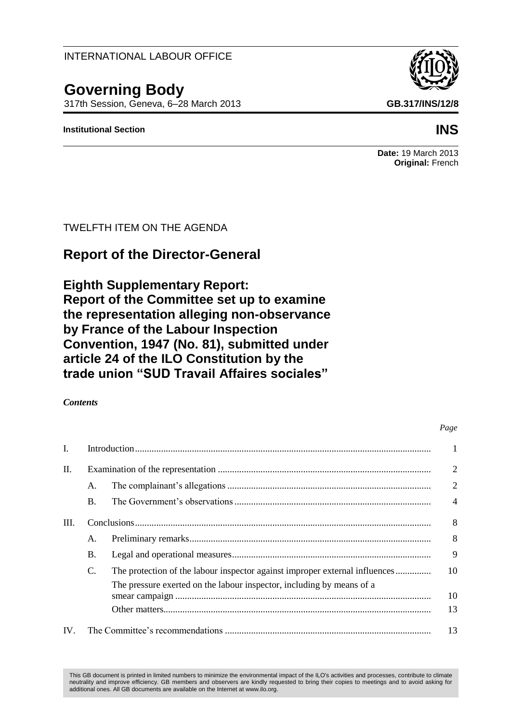## INTERNATIONAL LABOUR OFFICE

# **Governing Body**

317th Session, Geneva, 6–28 March 2013 **GB.317/INS/12/8**

## **Institutional Section INS**

## **Date:** 19 March 2013 **Original:** French

## TWELFTH ITEM ON THE AGENDA

# **Report of the Director-General**

**Eighth Supplementary Report: Report of the Committee set up to examine the representation alleging non-observance by France of the Labour Inspection Convention, 1947 (No. 81), submitted under article 24 of the ILO Constitution by the trade union "SUD Travail Affaires sociales"**

## *Contents*

# I. Introduction............................................................................................................................. 1 II. Examination of the representation .......................................................................................... 2 A. The complainant"s allegations ...................................................................................... 2 B. The Government"s observations................................................................................... 4 III. Conclusions............................................................................................................................. 8 A. Preliminary remarks...................................................................................................... 8 B. Legal and operational measures.................................................................................... 9 C. The protection of the labour inspector against improper external influences............... 10 The pressure exerted on the labour inspector, including by means of a smear campaign ............................................................................................................ 10 Other matters................................................................................................................. 13 IV. The Committee"s recommendations ....................................................................................... 13

This GB document is printed in limited numbers to minimize the environmental impact of the ILO's activities and processes, contribute to climate neutrality and improve efficiency. GB members and observers are kindly requested to bring their copies to meetings and to avoid asking for additional ones. All GB documents are available on the Internet at www.ilo.org.

*Page*

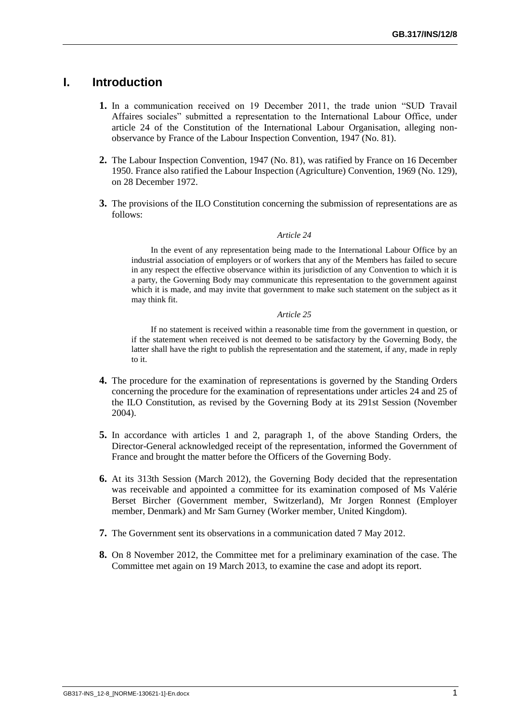## **I. Introduction**

- **1.** In a communication received on 19 December 2011, the trade union "SUD Travail Affaires sociales" submitted a representation to the International Labour Office, under article 24 of the Constitution of the International Labour Organisation, alleging nonobservance by France of the Labour Inspection Convention, 1947 (No. 81).
- **2.** The Labour Inspection Convention, 1947 (No. 81), was ratified by France on 16 December 1950. France also ratified the Labour Inspection (Agriculture) Convention, 1969 (No. 129), on 28 December 1972.
- **3.** The provisions of the ILO Constitution concerning the submission of representations are as follows:

### *Article 24*

In the event of any representation being made to the International Labour Office by an industrial association of employers or of workers that any of the Members has failed to secure in any respect the effective observance within its jurisdiction of any Convention to which it is a party, the Governing Body may communicate this representation to the government against which it is made, and may invite that government to make such statement on the subject as it may think fit.

### *Article 25*

If no statement is received within a reasonable time from the government in question, or if the statement when received is not deemed to be satisfactory by the Governing Body, the latter shall have the right to publish the representation and the statement, if any, made in reply to it.

- **4.** The procedure for the examination of representations is governed by the Standing Orders concerning the procedure for the examination of representations under articles 24 and 25 of the ILO Constitution, as revised by the Governing Body at its 291st Session (November 2004).
- **5.** In accordance with articles 1 and 2, paragraph 1, of the above Standing Orders, the Director-General acknowledged receipt of the representation, informed the Government of France and brought the matter before the Officers of the Governing Body.
- **6.** At its 313th Session (March 2012), the Governing Body decided that the representation was receivable and appointed a committee for its examination composed of Ms Valérie Berset Bircher (Government member, Switzerland), Mr Jorgen Ronnest (Employer member, Denmark) and Mr Sam Gurney (Worker member, United Kingdom).
- **7.** The Government sent its observations in a communication dated 7 May 2012.
- **8.** On 8 November 2012, the Committee met for a preliminary examination of the case. The Committee met again on 19 March 2013, to examine the case and adopt its report.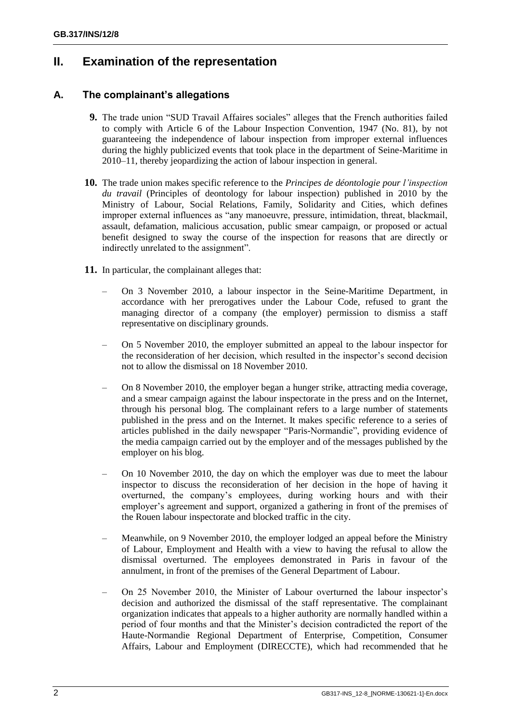## **II. Examination of the representation**

## **A. The complainant's allegations**

- **9.** The trade union "SUD Travail Affaires sociales" alleges that the French authorities failed to comply with Article 6 of the Labour Inspection Convention, 1947 (No. 81), by not guaranteeing the independence of labour inspection from improper external influences during the highly publicized events that took place in the department of Seine-Maritime in 2010–11, thereby jeopardizing the action of labour inspection in general.
- **10.** The trade union makes specific reference to the *Principes de déontologie pour l'inspection du travail* (Principles of deontology for labour inspection) published in 2010 by the Ministry of Labour, Social Relations, Family, Solidarity and Cities, which defines improper external influences as "any manoeuvre, pressure, intimidation, threat, blackmail, assault, defamation, malicious accusation, public smear campaign, or proposed or actual benefit designed to sway the course of the inspection for reasons that are directly or indirectly unrelated to the assignment".
- **11.** In particular, the complainant alleges that:
	- On 3 November 2010, a labour inspector in the Seine-Maritime Department, in accordance with her prerogatives under the Labour Code, refused to grant the managing director of a company (the employer) permission to dismiss a staff representative on disciplinary grounds.
	- On 5 November 2010, the employer submitted an appeal to the labour inspector for the reconsideration of her decision, which resulted in the inspector"s second decision not to allow the dismissal on 18 November 2010.
	- On 8 November 2010, the employer began a hunger strike, attracting media coverage, and a smear campaign against the labour inspectorate in the press and on the Internet, through his personal blog. The complainant refers to a large number of statements published in the press and on the Internet. It makes specific reference to a series of articles published in the daily newspaper "Paris-Normandie", providing evidence of the media campaign carried out by the employer and of the messages published by the employer on his blog.
	- On 10 November 2010, the day on which the employer was due to meet the labour inspector to discuss the reconsideration of her decision in the hope of having it overturned, the company"s employees, during working hours and with their employer's agreement and support, organized a gathering in front of the premises of the Rouen labour inspectorate and blocked traffic in the city.
	- Meanwhile, on 9 November 2010, the employer lodged an appeal before the Ministry of Labour, Employment and Health with a view to having the refusal to allow the dismissal overturned. The employees demonstrated in Paris in favour of the annulment, in front of the premises of the General Department of Labour.
	- On 25 November 2010, the Minister of Labour overturned the labour inspector"s decision and authorized the dismissal of the staff representative. The complainant organization indicates that appeals to a higher authority are normally handled within a period of four months and that the Minister"s decision contradicted the report of the Haute-Normandie Regional Department of Enterprise, Competition, Consumer Affairs, Labour and Employment (DIRECCTE), which had recommended that he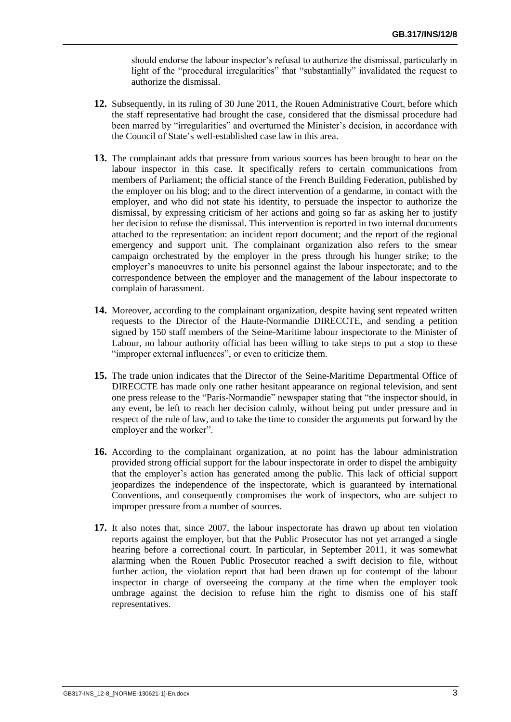should endorse the labour inspector"s refusal to authorize the dismissal, particularly in light of the "procedural irregularities" that "substantially" invalidated the request to authorize the dismissal.

- **12.** Subsequently, in its ruling of 30 June 2011, the Rouen Administrative Court, before which the staff representative had brought the case, considered that the dismissal procedure had been marred by "irregularities" and overturned the Minister's decision, in accordance with the Council of State"s well-established case law in this area.
- **13.** The complainant adds that pressure from various sources has been brought to bear on the labour inspector in this case. It specifically refers to certain communications from members of Parliament; the official stance of the French Building Federation, published by the employer on his blog; and to the direct intervention of a gendarme, in contact with the employer, and who did not state his identity, to persuade the inspector to authorize the dismissal, by expressing criticism of her actions and going so far as asking her to justify her decision to refuse the dismissal. This intervention is reported in two internal documents attached to the representation: an incident report document; and the report of the regional emergency and support unit. The complainant organization also refers to the smear campaign orchestrated by the employer in the press through his hunger strike; to the employer"s manoeuvres to unite his personnel against the labour inspectorate; and to the correspondence between the employer and the management of the labour inspectorate to complain of harassment.
- **14.** Moreover, according to the complainant organization, despite having sent repeated written requests to the Director of the Haute-Normandie DIRECCTE, and sending a petition signed by 150 staff members of the Seine-Maritime labour inspectorate to the Minister of Labour, no labour authority official has been willing to take steps to put a stop to these "improper external influences", or even to criticize them.
- **15.** The trade union indicates that the Director of the Seine-Maritime Departmental Office of DIRECCTE has made only one rather hesitant appearance on regional television, and sent one press release to the "Paris-Normandie" newspaper stating that "the inspector should, in any event, be left to reach her decision calmly, without being put under pressure and in respect of the rule of law, and to take the time to consider the arguments put forward by the employer and the worker".
- **16.** According to the complainant organization, at no point has the labour administration provided strong official support for the labour inspectorate in order to dispel the ambiguity that the employer"s action has generated among the public. This lack of official support jeopardizes the independence of the inspectorate, which is guaranteed by international Conventions, and consequently compromises the work of inspectors, who are subject to improper pressure from a number of sources.
- **17.** It also notes that, since 2007, the labour inspectorate has drawn up about ten violation reports against the employer, but that the Public Prosecutor has not yet arranged a single hearing before a correctional court. In particular, in September 2011, it was somewhat alarming when the Rouen Public Prosecutor reached a swift decision to file, without further action, the violation report that had been drawn up for contempt of the labour inspector in charge of overseeing the company at the time when the employer took umbrage against the decision to refuse him the right to dismiss one of his staff representatives.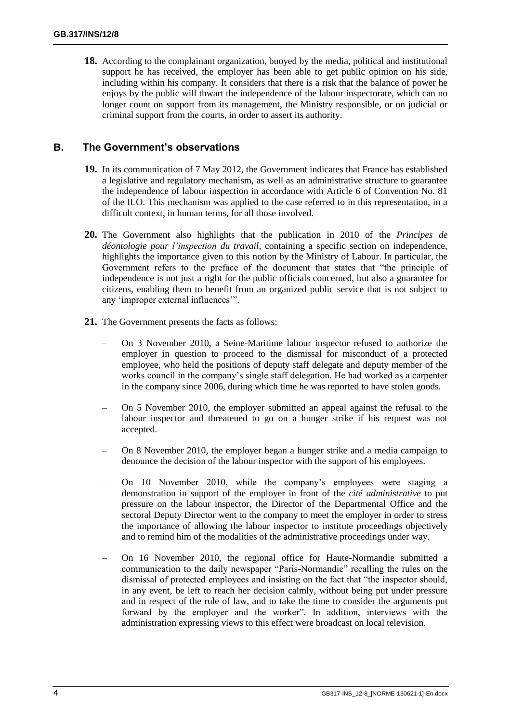**18.** According to the complainant organization, buoyed by the media, political and institutional support he has received, the employer has been able to get public opinion on his side, including within his company. It considers that there is a risk that the balance of power he enjoys by the public will thwart the independence of the labour inspectorate, which can no longer count on support from its management, the Ministry responsible, or on judicial or criminal support from the courts, in order to assert its authority.

## **B. The Government's observations**

- **19.** In its communication of 7 May 2012, the Government indicates that France has established a legislative and regulatory mechanism, as well as an administrative structure to guarantee the independence of labour inspection in accordance with Article 6 of Convention No. 81 of the ILO. This mechanism was applied to the case referred to in this representation, in a difficult context, in human terms, for all those involved.
- **20.** The Government also highlights that the publication in 2010 of the *Principes de déontologie pour l'inspection du travail*, containing a specific section on independence, highlights the importance given to this notion by the Ministry of Labour. In particular, the Government refers to the preface of the document that states that "the principle of independence is not just a right for the public officials concerned, but also a guarantee for citizens, enabling them to benefit from an organized public service that is not subject to any "improper external influences"".
- **21.** The Government presents the facts as follows:
	- On 3 November 2010, a Seine-Maritime labour inspector refused to authorize the employer in question to proceed to the dismissal for misconduct of a protected employee, who held the positions of deputy staff delegate and deputy member of the works council in the company"s single staff delegation. He had worked as a carpenter in the company since 2006, during which time he was reported to have stolen goods.
	- On 5 November 2010, the employer submitted an appeal against the refusal to the labour inspector and threatened to go on a hunger strike if his request was not accepted.
	- On 8 November 2010, the employer began a hunger strike and a media campaign to denounce the decision of the labour inspector with the support of his employees.
	- On 10 November 2010, while the company"s employees were staging a demonstration in support of the employer in front of the *cité administrative* to put pressure on the labour inspector, the Director of the Departmental Office and the sectoral Deputy Director went to the company to meet the employer in order to stress the importance of allowing the labour inspector to institute proceedings objectively and to remind him of the modalities of the administrative proceedings under way.
	- On 16 November 2010, the regional office for Haute-Normandie submitted a communication to the daily newspaper "Paris-Normandie" recalling the rules on the dismissal of protected employees and insisting on the fact that "the inspector should, in any event, be left to reach her decision calmly, without being put under pressure and in respect of the rule of law, and to take the time to consider the arguments put forward by the employer and the worker". In addition, interviews with the administration expressing views to this effect were broadcast on local television.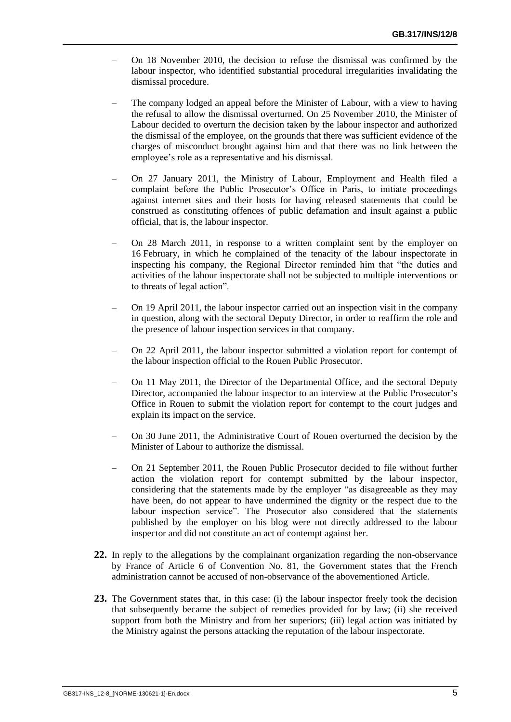- On 18 November 2010, the decision to refuse the dismissal was confirmed by the labour inspector, who identified substantial procedural irregularities invalidating the dismissal procedure.
- The company lodged an appeal before the Minister of Labour, with a view to having the refusal to allow the dismissal overturned. On 25 November 2010, the Minister of Labour decided to overturn the decision taken by the labour inspector and authorized the dismissal of the employee, on the grounds that there was sufficient evidence of the charges of misconduct brought against him and that there was no link between the employee's role as a representative and his dismissal.
- On 27 January 2011, the Ministry of Labour, Employment and Health filed a complaint before the Public Prosecutor's Office in Paris, to initiate proceedings against internet sites and their hosts for having released statements that could be construed as constituting offences of public defamation and insult against a public official, that is, the labour inspector.
- On 28 March 2011, in response to a written complaint sent by the employer on 16 February, in which he complained of the tenacity of the labour inspectorate in inspecting his company, the Regional Director reminded him that "the duties and activities of the labour inspectorate shall not be subjected to multiple interventions or to threats of legal action".
- On 19 April 2011, the labour inspector carried out an inspection visit in the company in question, along with the sectoral Deputy Director, in order to reaffirm the role and the presence of labour inspection services in that company.
- On 22 April 2011, the labour inspector submitted a violation report for contempt of the labour inspection official to the Rouen Public Prosecutor.
- On 11 May 2011, the Director of the Departmental Office, and the sectoral Deputy Director, accompanied the labour inspector to an interview at the Public Prosecutor"s Office in Rouen to submit the violation report for contempt to the court judges and explain its impact on the service.
- On 30 June 2011, the Administrative Court of Rouen overturned the decision by the Minister of Labour to authorize the dismissal.
- On 21 September 2011, the Rouen Public Prosecutor decided to file without further action the violation report for contempt submitted by the labour inspector, considering that the statements made by the employer "as disagreeable as they may have been, do not appear to have undermined the dignity or the respect due to the labour inspection service". The Prosecutor also considered that the statements published by the employer on his blog were not directly addressed to the labour inspector and did not constitute an act of contempt against her.
- **22.** In reply to the allegations by the complainant organization regarding the non-observance by France of Article 6 of Convention No. 81, the Government states that the French administration cannot be accused of non-observance of the abovementioned Article.
- **23.** The Government states that, in this case: (i) the labour inspector freely took the decision that subsequently became the subject of remedies provided for by law; (ii) she received support from both the Ministry and from her superiors; (iii) legal action was initiated by the Ministry against the persons attacking the reputation of the labour inspectorate.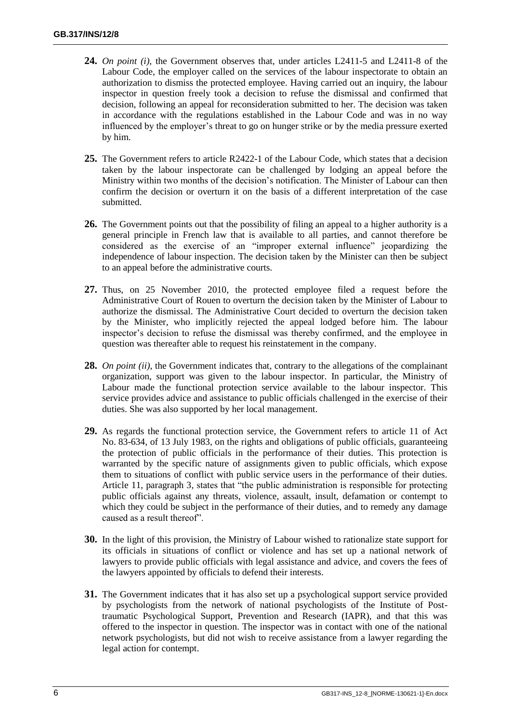- **24.** *On point (i)*, the Government observes that, under articles L2411-5 and L2411-8 of the Labour Code, the employer called on the services of the labour inspectorate to obtain an authorization to dismiss the protected employee. Having carried out an inquiry, the labour inspector in question freely took a decision to refuse the dismissal and confirmed that decision, following an appeal for reconsideration submitted to her. The decision was taken in accordance with the regulations established in the Labour Code and was in no way influenced by the employer"s threat to go on hunger strike or by the media pressure exerted by him.
- **25.** The Government refers to article R2422-1 of the Labour Code, which states that a decision taken by the labour inspectorate can be challenged by lodging an appeal before the Ministry within two months of the decision"s notification. The Minister of Labour can then confirm the decision or overturn it on the basis of a different interpretation of the case submitted.
- **26.** The Government points out that the possibility of filing an appeal to a higher authority is a general principle in French law that is available to all parties, and cannot therefore be considered as the exercise of an "improper external influence" jeopardizing the independence of labour inspection. The decision taken by the Minister can then be subject to an appeal before the administrative courts.
- **27.** Thus, on 25 November 2010, the protected employee filed a request before the Administrative Court of Rouen to overturn the decision taken by the Minister of Labour to authorize the dismissal. The Administrative Court decided to overturn the decision taken by the Minister, who implicitly rejected the appeal lodged before him. The labour inspector"s decision to refuse the dismissal was thereby confirmed, and the employee in question was thereafter able to request his reinstatement in the company.
- **28.** *On point (ii)*, the Government indicates that, contrary to the allegations of the complainant organization, support was given to the labour inspector. In particular, the Ministry of Labour made the functional protection service available to the labour inspector. This service provides advice and assistance to public officials challenged in the exercise of their duties. She was also supported by her local management.
- **29.** As regards the functional protection service, the Government refers to article 11 of Act No. 83-634, of 13 July 1983, on the rights and obligations of public officials, guaranteeing the protection of public officials in the performance of their duties. This protection is warranted by the specific nature of assignments given to public officials, which expose them to situations of conflict with public service users in the performance of their duties. Article 11, paragraph 3, states that "the public administration is responsible for protecting public officials against any threats, violence, assault, insult, defamation or contempt to which they could be subject in the performance of their duties, and to remedy any damage caused as a result thereof".
- **30.** In the light of this provision, the Ministry of Labour wished to rationalize state support for its officials in situations of conflict or violence and has set up a national network of lawyers to provide public officials with legal assistance and advice, and covers the fees of the lawyers appointed by officials to defend their interests.
- **31.** The Government indicates that it has also set up a psychological support service provided by psychologists from the network of national psychologists of the Institute of Posttraumatic Psychological Support, Prevention and Research (IAPR), and that this was offered to the inspector in question. The inspector was in contact with one of the national network psychologists, but did not wish to receive assistance from a lawyer regarding the legal action for contempt.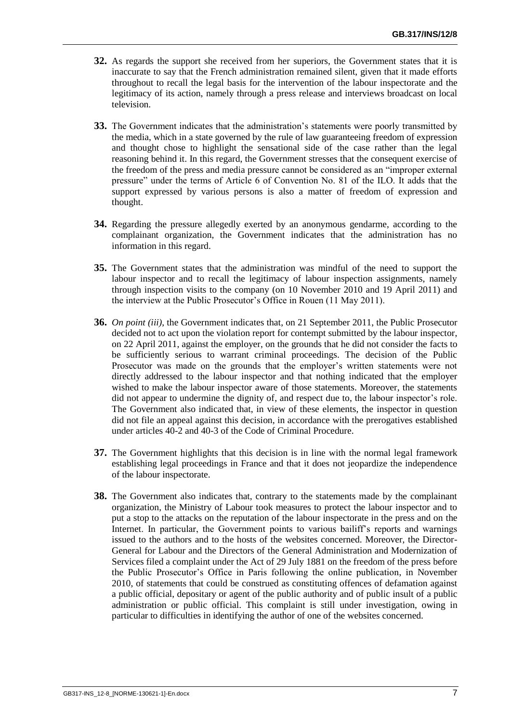- **32.** As regards the support she received from her superiors, the Government states that it is inaccurate to say that the French administration remained silent, given that it made efforts throughout to recall the legal basis for the intervention of the labour inspectorate and the legitimacy of its action, namely through a press release and interviews broadcast on local television.
- **33.** The Government indicates that the administration's statements were poorly transmitted by the media, which in a state governed by the rule of law guaranteeing freedom of expression and thought chose to highlight the sensational side of the case rather than the legal reasoning behind it. In this regard, the Government stresses that the consequent exercise of the freedom of the press and media pressure cannot be considered as an "improper external pressure" under the terms of Article 6 of Convention No. 81 of the ILO. It adds that the support expressed by various persons is also a matter of freedom of expression and thought.
- **34.** Regarding the pressure allegedly exerted by an anonymous gendarme, according to the complainant organization, the Government indicates that the administration has no information in this regard.
- **35.** The Government states that the administration was mindful of the need to support the labour inspector and to recall the legitimacy of labour inspection assignments, namely through inspection visits to the company (on 10 November 2010 and 19 April 2011) and the interview at the Public Prosecutor"s Office in Rouen (11 May 2011).
- **36.** *On point (iii)*, the Government indicates that, on 21 September 2011, the Public Prosecutor decided not to act upon the violation report for contempt submitted by the labour inspector, on 22 April 2011, against the employer, on the grounds that he did not consider the facts to be sufficiently serious to warrant criminal proceedings. The decision of the Public Prosecutor was made on the grounds that the employer"s written statements were not directly addressed to the labour inspector and that nothing indicated that the employer wished to make the labour inspector aware of those statements. Moreover, the statements did not appear to undermine the dignity of, and respect due to, the labour inspector's role. The Government also indicated that, in view of these elements, the inspector in question did not file an appeal against this decision, in accordance with the prerogatives established under articles 40-2 and 40-3 of the Code of Criminal Procedure.
- **37.** The Government highlights that this decision is in line with the normal legal framework establishing legal proceedings in France and that it does not jeopardize the independence of the labour inspectorate.
- **38.** The Government also indicates that, contrary to the statements made by the complainant organization, the Ministry of Labour took measures to protect the labour inspector and to put a stop to the attacks on the reputation of the labour inspectorate in the press and on the Internet. In particular, the Government points to various bailiff"s reports and warnings issued to the authors and to the hosts of the websites concerned. Moreover, the Director-General for Labour and the Directors of the General Administration and Modernization of Services filed a complaint under the Act of 29 July 1881 on the freedom of the press before the Public Prosecutor"s Office in Paris following the online publication, in November 2010, of statements that could be construed as constituting offences of defamation against a public official, depositary or agent of the public authority and of public insult of a public administration or public official. This complaint is still under investigation, owing in particular to difficulties in identifying the author of one of the websites concerned.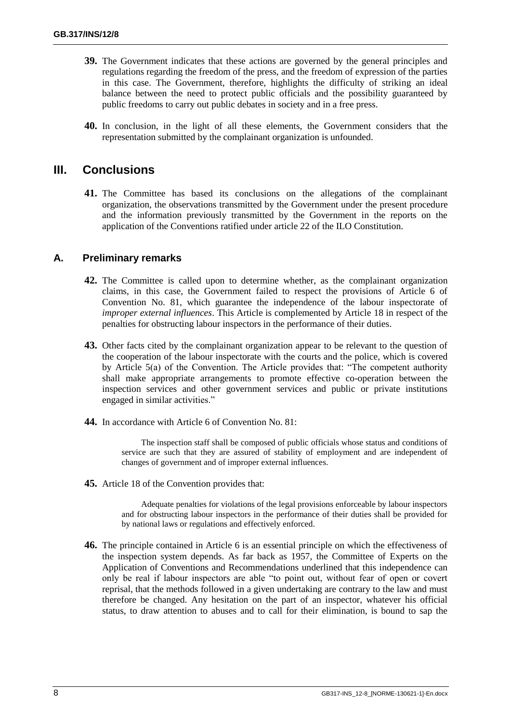- **39.** The Government indicates that these actions are governed by the general principles and regulations regarding the freedom of the press, and the freedom of expression of the parties in this case. The Government, therefore, highlights the difficulty of striking an ideal balance between the need to protect public officials and the possibility guaranteed by public freedoms to carry out public debates in society and in a free press.
- **40.** In conclusion, in the light of all these elements, the Government considers that the representation submitted by the complainant organization is unfounded.

## **III. Conclusions**

**41.** The Committee has based its conclusions on the allegations of the complainant organization, the observations transmitted by the Government under the present procedure and the information previously transmitted by the Government in the reports on the application of the Conventions ratified under article 22 of the ILO Constitution.

### **A. Preliminary remarks**

- **42.** The Committee is called upon to determine whether, as the complainant organization claims, in this case, the Government failed to respect the provisions of Article 6 of Convention No. 81, which guarantee the independence of the labour inspectorate of *improper external influences*. This Article is complemented by Article 18 in respect of the penalties for obstructing labour inspectors in the performance of their duties.
- **43.** Other facts cited by the complainant organization appear to be relevant to the question of the cooperation of the labour inspectorate with the courts and the police, which is covered by Article 5(a) of the Convention. The Article provides that: "The competent authority shall make appropriate arrangements to promote effective co-operation between the inspection services and other government services and public or private institutions engaged in similar activities."
- **44.** In accordance with Article 6 of Convention No. 81:

The inspection staff shall be composed of public officials whose status and conditions of service are such that they are assured of stability of employment and are independent of changes of government and of improper external influences.

**45.** Article 18 of the Convention provides that:

Adequate penalties for violations of the legal provisions enforceable by labour inspectors and for obstructing labour inspectors in the performance of their duties shall be provided for by national laws or regulations and effectively enforced.

**46.** The principle contained in Article 6 is an essential principle on which the effectiveness of the inspection system depends. As far back as 1957, the Committee of Experts on the Application of Conventions and Recommendations underlined that this independence can only be real if labour inspectors are able "to point out, without fear of open or covert reprisal, that the methods followed in a given undertaking are contrary to the law and must therefore be changed. Any hesitation on the part of an inspector, whatever his official status, to draw attention to abuses and to call for their elimination, is bound to sap the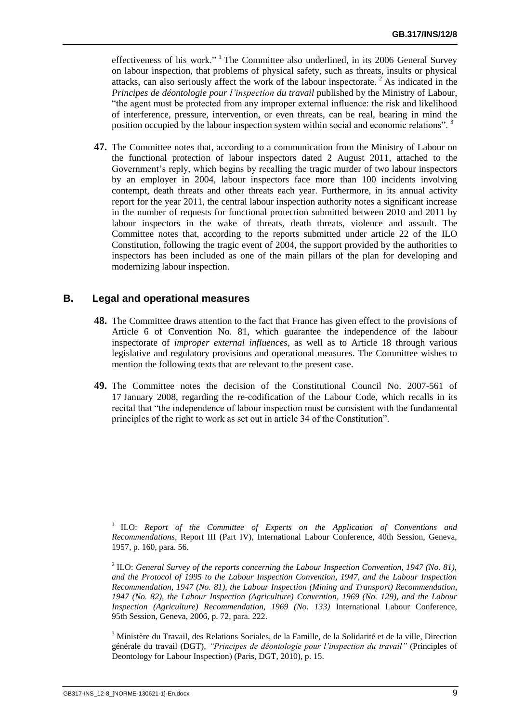effectiveness of his work."  $\frac{1}{1}$  The Committee also underlined, in its 2006 General Survey on labour inspection, that problems of physical safety, such as threats, insults or physical attacks, can also seriously affect the work of the labour inspectorate.  $2^2$  As indicated in the *Principes de déontologie pour l'inspection du travail* published by the Ministry of Labour, "the agent must be protected from any improper external influence: the risk and likelihood of interference, pressure, intervention, or even threats, can be real, bearing in mind the position occupied by the labour inspection system within social and economic relations". <sup>3</sup>

**47.** The Committee notes that, according to a communication from the Ministry of Labour on the functional protection of labour inspectors dated 2 August 2011, attached to the Government's reply, which begins by recalling the tragic murder of two labour inspectors by an employer in 2004, labour inspectors face more than 100 incidents involving contempt, death threats and other threats each year. Furthermore, in its annual activity report for the year 2011, the central labour inspection authority notes a significant increase in the number of requests for functional protection submitted between 2010 and 2011 by labour inspectors in the wake of threats, death threats, violence and assault. The Committee notes that, according to the reports submitted under article 22 of the ILO Constitution, following the tragic event of 2004, the support provided by the authorities to inspectors has been included as one of the main pillars of the plan for developing and modernizing labour inspection.

## **B. Legal and operational measures**

- **48.** The Committee draws attention to the fact that France has given effect to the provisions of Article 6 of Convention No. 81, which guarantee the independence of the labour inspectorate of *improper external influences*, as well as to Article 18 through various legislative and regulatory provisions and operational measures. The Committee wishes to mention the following texts that are relevant to the present case.
- **49.** The Committee notes the decision of the Constitutional Council No. 2007-561 of 17 January 2008, regarding the re-codification of the Labour Code, which recalls in its recital that "the independence of labour inspection must be consistent with the fundamental principles of the right to work as set out in article 34 of the Constitution".

<sup>&</sup>lt;sup>1</sup> ILO: *Report of the Committee of Experts on the Application of Conventions and Recommendations,* Report III (Part IV), International Labour Conference, 40th Session, Geneva, 1957, p. 160, para. 56.

<sup>2</sup> ILO: *General Survey of the reports concerning the Labour Inspection Convention, 1947 (No. 81), and the Protocol of 1995 to the Labour Inspection Convention, 1947, and the Labour Inspection Recommendation, 1947 (No. 81), the Labour Inspection (Mining and Transport) Recommendation, 1947 (No. 82), the Labour Inspection (Agriculture) Convention, 1969 (No. 129), and the Labour Inspection (Agriculture) Recommendation, 1969 (No. 133)* International Labour Conference, 95th Session, Geneva, 2006, p. 72, para. 222.

<sup>3</sup> Ministère du Travail, des Relations Sociales, de la Famille, de la Solidarité et de la ville, Direction générale du travail (DGT), *"Principes de déontologie pour l'inspection du travail"* (Principles of Deontology for Labour Inspection) (Paris, DGT, 2010), p. 15.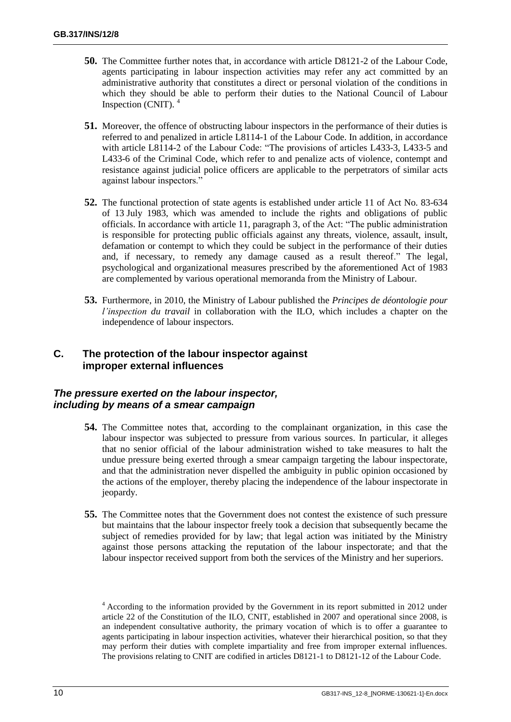- **50.** The Committee further notes that, in accordance with article D8121-2 of the Labour Code, agents participating in labour inspection activities may refer any act committed by an administrative authority that constitutes a direct or personal violation of the conditions in which they should be able to perform their duties to the National Council of Labour Inspection (CNIT). <sup>4</sup>
- **51.** Moreover, the offence of obstructing labour inspectors in the performance of their duties is referred to and penalized in article L8114-1 of the Labour Code. In addition, in accordance with article L8114-2 of the Labour Code: "The provisions of articles L433-3, L433-5 and L433-6 of the Criminal Code, which refer to and penalize acts of violence, contempt and resistance against judicial police officers are applicable to the perpetrators of similar acts against labour inspectors."
- **52.** The functional protection of state agents is established under article 11 of Act No. 83-634 of 13 July 1983, which was amended to include the rights and obligations of public officials. In accordance with article 11, paragraph 3, of the Act: "The public administration is responsible for protecting public officials against any threats, violence, assault, insult, defamation or contempt to which they could be subject in the performance of their duties and, if necessary, to remedy any damage caused as a result thereof." The legal, psychological and organizational measures prescribed by the aforementioned Act of 1983 are complemented by various operational memoranda from the Ministry of Labour.
- **53.** Furthermore, in 2010, the Ministry of Labour published the *Principes de déontologie pour l'inspection du travail* in collaboration with the ILO, which includes a chapter on the independence of labour inspectors.

## **C. The protection of the labour inspector against improper external influences**

## *The pressure exerted on the labour inspector, including by means of a smear campaign*

- **54.** The Committee notes that, according to the complainant organization, in this case the labour inspector was subjected to pressure from various sources. In particular, it alleges that no senior official of the labour administration wished to take measures to halt the undue pressure being exerted through a smear campaign targeting the labour inspectorate, and that the administration never dispelled the ambiguity in public opinion occasioned by the actions of the employer, thereby placing the independence of the labour inspectorate in jeopardy.
- **55.** The Committee notes that the Government does not contest the existence of such pressure but maintains that the labour inspector freely took a decision that subsequently became the subject of remedies provided for by law; that legal action was initiated by the Ministry against those persons attacking the reputation of the labour inspectorate; and that the labour inspector received support from both the services of the Ministry and her superiors.

<sup>&</sup>lt;sup>4</sup> According to the information provided by the Government in its report submitted in 2012 under article 22 of the Constitution of the ILO, CNIT, established in 2007 and operational since 2008, is an independent consultative authority, the primary vocation of which is to offer a guarantee to agents participating in labour inspection activities, whatever their hierarchical position, so that they may perform their duties with complete impartiality and free from improper external influences. The provisions relating to CNIT are codified in articles D8121-1 to D8121-12 of the Labour Code.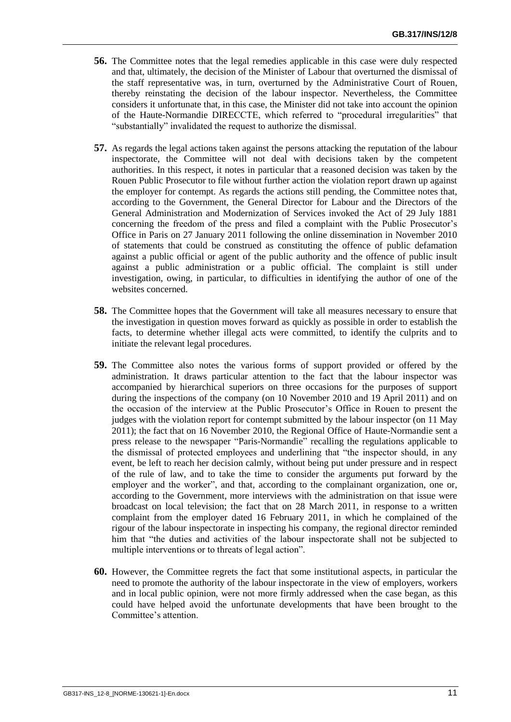- **56.** The Committee notes that the legal remedies applicable in this case were duly respected and that, ultimately, the decision of the Minister of Labour that overturned the dismissal of the staff representative was, in turn, overturned by the Administrative Court of Rouen, thereby reinstating the decision of the labour inspector. Nevertheless, the Committee considers it unfortunate that, in this case, the Minister did not take into account the opinion of the Haute-Normandie DIRECCTE, which referred to "procedural irregularities" that "substantially" invalidated the request to authorize the dismissal.
- **57.** As regards the legal actions taken against the persons attacking the reputation of the labour inspectorate, the Committee will not deal with decisions taken by the competent authorities. In this respect, it notes in particular that a reasoned decision was taken by the Rouen Public Prosecutor to file without further action the violation report drawn up against the employer for contempt. As regards the actions still pending, the Committee notes that, according to the Government, the General Director for Labour and the Directors of the General Administration and Modernization of Services invoked the Act of 29 July 1881 concerning the freedom of the press and filed a complaint with the Public Prosecutor"s Office in Paris on 27 January 2011 following the online dissemination in November 2010 of statements that could be construed as constituting the offence of public defamation against a public official or agent of the public authority and the offence of public insult against a public administration or a public official. The complaint is still under investigation, owing, in particular, to difficulties in identifying the author of one of the websites concerned.
- **58.** The Committee hopes that the Government will take all measures necessary to ensure that the investigation in question moves forward as quickly as possible in order to establish the facts, to determine whether illegal acts were committed, to identify the culprits and to initiate the relevant legal procedures.
- **59.** The Committee also notes the various forms of support provided or offered by the administration. It draws particular attention to the fact that the labour inspector was accompanied by hierarchical superiors on three occasions for the purposes of support during the inspections of the company (on 10 November 2010 and 19 April 2011) and on the occasion of the interview at the Public Prosecutor"s Office in Rouen to present the judges with the violation report for contempt submitted by the labour inspector (on 11 May 2011); the fact that on 16 November 2010, the Regional Office of Haute-Normandie sent a press release to the newspaper "Paris-Normandie" recalling the regulations applicable to the dismissal of protected employees and underlining that "the inspector should, in any event, be left to reach her decision calmly, without being put under pressure and in respect of the rule of law, and to take the time to consider the arguments put forward by the employer and the worker", and that, according to the complainant organization, one or, according to the Government, more interviews with the administration on that issue were broadcast on local television; the fact that on 28 March 2011, in response to a written complaint from the employer dated 16 February 2011, in which he complained of the rigour of the labour inspectorate in inspecting his company, the regional director reminded him that "the duties and activities of the labour inspectorate shall not be subjected to multiple interventions or to threats of legal action".
- **60.** However, the Committee regrets the fact that some institutional aspects, in particular the need to promote the authority of the labour inspectorate in the view of employers, workers and in local public opinion, were not more firmly addressed when the case began, as this could have helped avoid the unfortunate developments that have been brought to the Committee's attention.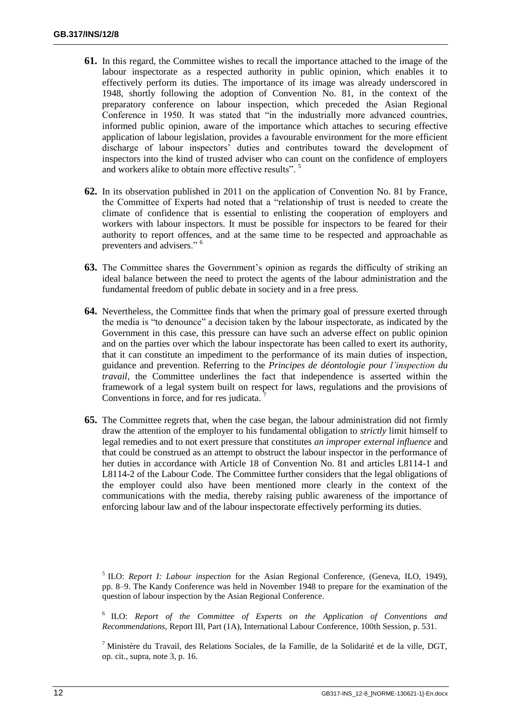- **61.** In this regard, the Committee wishes to recall the importance attached to the image of the labour inspectorate as a respected authority in public opinion, which enables it to effectively perform its duties. The importance of its image was already underscored in 1948, shortly following the adoption of Convention No. 81, in the context of the preparatory conference on labour inspection, which preceded the Asian Regional Conference in 1950. It was stated that "in the industrially more advanced countries, informed public opinion, aware of the importance which attaches to securing effective application of labour legislation, provides a favourable environment for the more efficient discharge of labour inspectors' duties and contributes toward the development of inspectors into the kind of trusted adviser who can count on the confidence of employers and workers alike to obtain more effective results".<sup>5</sup>
- **62.** In its observation published in 2011 on the application of Convention No. 81 by France, the Committee of Experts had noted that a "relationship of trust is needed to create the climate of confidence that is essential to enlisting the cooperation of employers and workers with labour inspectors. It must be possible for inspectors to be feared for their authority to report offences, and at the same time to be respected and approachable as preventers and advisers." <sup>6</sup>
- **63.** The Committee shares the Government's opinion as regards the difficulty of striking an ideal balance between the need to protect the agents of the labour administration and the fundamental freedom of public debate in society and in a free press.
- **64.** Nevertheless, the Committee finds that when the primary goal of pressure exerted through the media is "to denounce" a decision taken by the labour inspectorate, as indicated by the Government in this case, this pressure can have such an adverse effect on public opinion and on the parties over which the labour inspectorate has been called to exert its authority, that it can constitute an impediment to the performance of its main duties of inspection, guidance and prevention. Referring to the *Principes de déontologie pour l'inspection du travail*, the Committee underlines the fact that independence is asserted within the framework of a legal system built on respect for laws, regulations and the provisions of Conventions in force, and for res judicata.
- **65.** The Committee regrets that, when the case began, the labour administration did not firmly draw the attention of the employer to his fundamental obligation to *strictly* limit himself to legal remedies and to not exert pressure that constitutes *an improper external influence* and that could be construed as an attempt to obstruct the labour inspector in the performance of her duties in accordance with Article 18 of Convention No. 81 and articles L8114-1 and L8114-2 of the Labour Code. The Committee further considers that the legal obligations of the employer could also have been mentioned more clearly in the context of the communications with the media, thereby raising public awareness of the importance of enforcing labour law and of the labour inspectorate effectively performing its duties.

<sup>5</sup> ILO: *Report I: Labour inspection* for the Asian Regional Conference, (Geneva, ILO, 1949), pp. 8–9. The Kandy Conference was held in November 1948 to prepare for the examination of the question of labour inspection by the Asian Regional Conference.

6 ILO: *Report of the Committee of Experts on the Application of Conventions and Recommendations*, Report III, Part (1A), International Labour Conference, 100th Session, p. 531.

 $<sup>7</sup>$  Ministère du Travail, des Relations Sociales, de la Famille, de la Solidarité et de la ville, DGT,</sup> op. cit., supra, note 3, p. 16.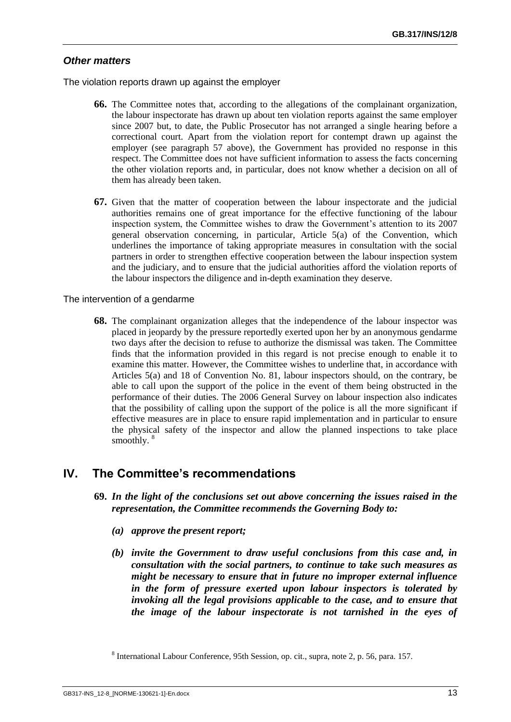## *Other matters*

The violation reports drawn up against the employer

- **66.** The Committee notes that, according to the allegations of the complainant organization, the labour inspectorate has drawn up about ten violation reports against the same employer since 2007 but, to date, the Public Prosecutor has not arranged a single hearing before a correctional court. Apart from the violation report for contempt drawn up against the employer (see paragraph 57 above), the Government has provided no response in this respect. The Committee does not have sufficient information to assess the facts concerning the other violation reports and, in particular, does not know whether a decision on all of them has already been taken.
- **67.** Given that the matter of cooperation between the labour inspectorate and the judicial authorities remains one of great importance for the effective functioning of the labour inspection system, the Committee wishes to draw the Government"s attention to its 2007 general observation concerning, in particular, Article 5(a) of the Convention, which underlines the importance of taking appropriate measures in consultation with the social partners in order to strengthen effective cooperation between the labour inspection system and the judiciary, and to ensure that the judicial authorities afford the violation reports of the labour inspectors the diligence and in-depth examination they deserve.

The intervention of a gendarme

**68.** The complainant organization alleges that the independence of the labour inspector was placed in jeopardy by the pressure reportedly exerted upon her by an anonymous gendarme two days after the decision to refuse to authorize the dismissal was taken. The Committee finds that the information provided in this regard is not precise enough to enable it to examine this matter. However, the Committee wishes to underline that, in accordance with Articles 5(a) and 18 of Convention No. 81, labour inspectors should, on the contrary, be able to call upon the support of the police in the event of them being obstructed in the performance of their duties. The 2006 General Survey on labour inspection also indicates that the possibility of calling upon the support of the police is all the more significant if effective measures are in place to ensure rapid implementation and in particular to ensure the physical safety of the inspector and allow the planned inspections to take place smoothly.<sup>8</sup>

## **IV. The Committee's recommendations**

- **69.** *In the light of the conclusions set out above concerning the issues raised in the representation, the Committee recommends the Governing Body to:*
	- *(a) approve the present report;*
	- *(b) invite the Government to draw useful conclusions from this case and, in consultation with the social partners, to continue to take such measures as might be necessary to ensure that in future no improper external influence in the form of pressure exerted upon labour inspectors is tolerated by invoking all the legal provisions applicable to the case, and to ensure that the image of the labour inspectorate is not tarnished in the eyes of*

<sup>&</sup>lt;sup>8</sup> International Labour Conference, 95th Session, op. cit., supra, note 2, p. 56, para. 157.